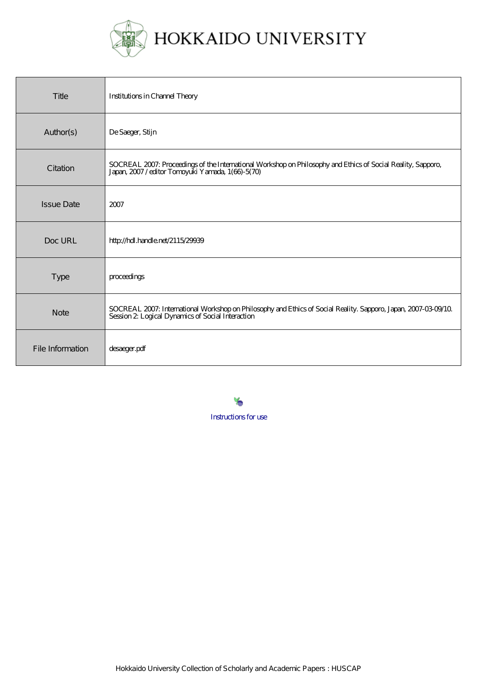

| Title             | <b>Institutions in Channel Theory</b>                                                                                                                              |
|-------------------|--------------------------------------------------------------------------------------------------------------------------------------------------------------------|
| Author(s)         | De Saeger, Stijn                                                                                                                                                   |
| Citation          | SOCREAL 2007: Proceedings of the International Workshop on Philosophy and Ethics of Social Reality, Sapporo,<br>Japan, 2007/editor Tomoyuki Yamada, 1(66)-5(70)    |
| <b>Issue Date</b> | 2007                                                                                                                                                               |
| Doc URL           | http://hdl.handle.net/2115/29939                                                                                                                                   |
| <b>Type</b>       | proceedings                                                                                                                                                        |
| <b>Note</b>       | SOCREAL 2007: International Workshop on Philosophy and Ethics of Social Reality. Sapporo, Japan, 2007-03-09/10<br>Session 2 Logical Dynamics of Social Interaction |
| File Information  | desaeger.pdf                                                                                                                                                       |

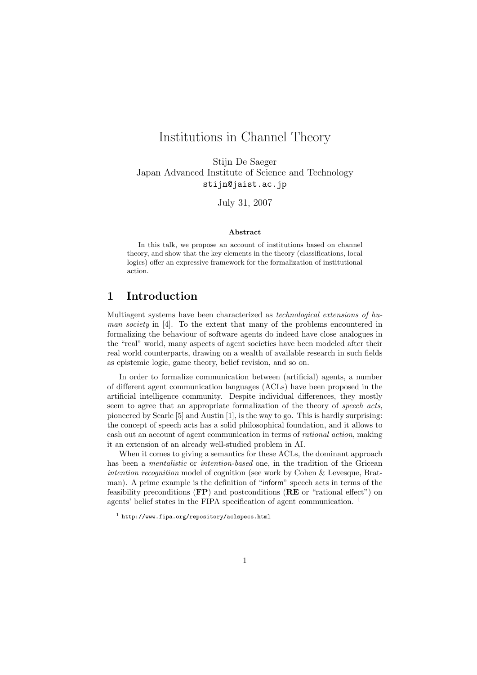# Institutions in Channel Theory

Stijn De Saeger Japan Advanced Institute of Science and Technology stijn@jaist.ac.jp

July 31, 2007

#### Abstract

In this talk, we propose an account of institutions based on channel theory, and show that the key elements in the theory (classifications, local logics) offer an expressive framework for the formalization of institutional action.

## 1 Introduction

Multiagent systems have been characterized as technological extensions of human society in [4]. To the extent that many of the problems encountered in formalizing the behaviour of software agents do indeed have close analogues in the "real" world, many aspects of agent societies have been modeled after their real world counterparts, drawing on a wealth of available research in such fields as epistemic logic, game theory, belief revision, and so on.

In order to formalize communication between (artificial) agents, a number of different agent communication languages (ACLs) have been proposed in the artificial intelligence community. Despite individual differences, they mostly seem to agree that an appropriate formalization of the theory of speech acts, pioneered by Searle [5] and Austin [1], is the way to go. This is hardly surprising: the concept of speech acts has a solid philosophical foundation, and it allows to cash out an account of agent communication in terms of rational action, making it an extension of an already well-studied problem in AI.

When it comes to giving a semantics for these ACLs, the dominant approach has been a *mentalistic* or *intention-based* one, in the tradition of the Gricean intention recognition model of cognition (see work by Cohen & Levesque, Bratman). A prime example is the definition of "inform" speech acts in terms of the feasibility preconditions (FP) and postconditions (RE or "rational effect") on agents' belief states in the FIPA specification of agent communication. <sup>1</sup>

<sup>1</sup> http://www.fipa.org/repository/aclspecs.html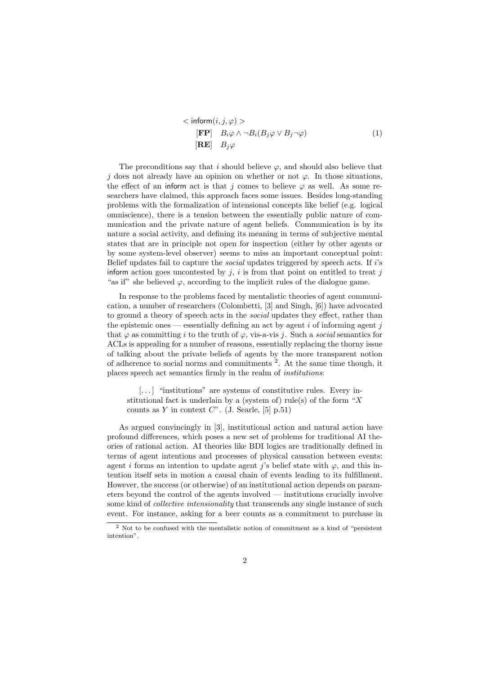$$
\langle \text{ inform}(i, j, \varphi) \rangle
$$
  
\n[FP]  $B_i \varphi \wedge \neg B_i(B_j \varphi \vee B_j \neg \varphi)$   
\n[RE]  $B_j \varphi$  (1)

The preconditions say that i should believe  $\varphi$ , and should also believe that j does not already have an opinion on whether or not  $\varphi$ . In those situations, the effect of an inform act is that j comes to believe  $\varphi$  as well. As some researchers have claimed, this approach faces some issues. Besides long-standing problems with the formalization of intensional concepts like belief (e.g. logical omniscience), there is a tension between the essentially public nature of communication and the private nature of agent beliefs. Communication is by its nature a social activity, and defining its meaning in terms of subjective mental states that are in principle not open for inspection (either by other agents or by some system-level observer) seems to miss an important conceptual point: Belief updates fail to capture the social updates triggered by speech acts. If i's inform action goes uncontested by  $i$ , i is from that point on entitled to treat j "as if" she believed  $\varphi$ , according to the implicit rules of the dialogue game.

In response to the problems faced by mentalistic theories of agent communication, a number of researchers (Colombetti, [3] and Singh, [6]) have advocated to ground a theory of speech acts in the social updates they effect, rather than the epistemic ones — essentially defining an act by agent  $i$  of informing agent  $j$ that  $\varphi$  as committing i to the truth of  $\varphi$ , vis-a-vis j. Such a social semantics for ACLs is appealing for a number of reasons, essentially replacing the thorny issue of talking about the private beliefs of agents by the more transparent notion of adherence to social norms and commitments<sup>2</sup>. At the same time though, it places speech act semantics firmly in the realm of institutions:

[...] "institutions" are systems of constitutive rules. Every institutional fact is underlain by a (system of) rule(s) of the form " $X$ counts as Y in context  $C^"$ . (J. Searle, [5] p.51)

As argued convincingly in [3], institutional action and natural action have profound differences, which poses a new set of problems for traditional AI theories of rational action. AI theories like BDI logics are traditionally defined in terms of agent intentions and processes of physical causation between events: agent i forms an intention to update agent j's belief state with  $\varphi$ , and this intention itself sets in motion a causal chain of events leading to its fulfillment. However, the success (or otherwise) of an institutional action depends on parameters beyond the control of the agents involved — institutions crucially involve some kind of collective intensionality that transcends any single instance of such event. For instance, asking for a beer counts as a commitment to purchase in

<sup>2</sup> Not to be confused with the mentalistic notion of commitment as a kind of "persistent intention".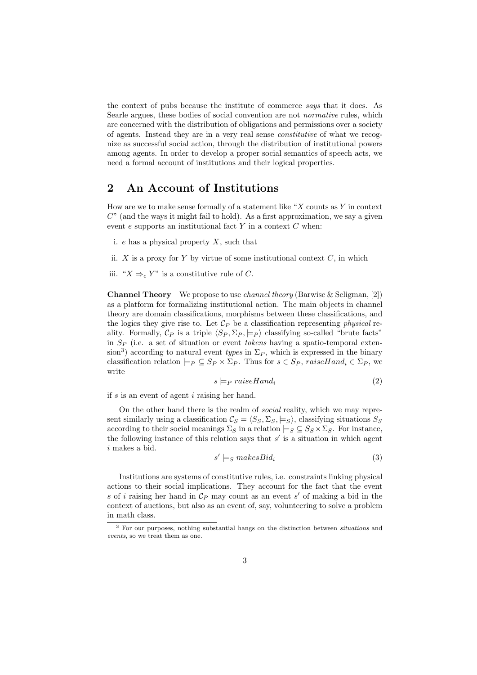the context of pubs because the institute of commerce says that it does. As Searle argues, these bodies of social convention are not normative rules, which are concerned with the distribution of obligations and permissions over a society of agents. Instead they are in a very real sense constitutive of what we recognize as successful social action, through the distribution of institutional powers among agents. In order to develop a proper social semantics of speech acts, we need a formal account of institutions and their logical properties.

## 2 An Account of Institutions

How are we to make sense formally of a statement like " $X$  counts as  $Y$  in context  $C^{\prime\prime}$  (and the ways it might fail to hold). As a first approximation, we say a given event  $e$  supports an institutional fact Y in a context  $C$  when:

- i.  $e$  has a physical property  $X$ , such that
- ii.  $X$  is a proxy for  $Y$  by virtue of some institutional context  $C$ , in which
- iii. " $X \Rightarrow_c Y$ " is a constitutive rule of C.

**Channel Theory** We propose to use *channel theory* (Barwise & Seligman, [2]) as a platform for formalizing institutional action. The main objects in channel theory are domain classifications, morphisms between these classifications, and the logics they give rise to. Let  $\mathcal{C}_P$  be a classification representing *physical* reality. Formally,  $\mathcal{C}_P$  is a triple  $\langle S_P, \Sigma_P \rangle$  classifying so-called "brute facts" in  $S_P$  (i.e. a set of situation or event *tokens* having a spatio-temporal extension<sup>3</sup>) according to natural event *types* in  $\Sigma_P$ , which is expressed in the binary classification relation  $\models P \subseteq S_P \times \Sigma_P$ . Thus for  $s \in S_P$ , raiseHand<sub>i</sub>  $\in \Sigma_P$ , we write

$$
s \models_P \text{raiseHand}_i \tag{2}
$$

if s is an event of agent i raising her hand.

On the other hand there is the realm of social reality, which we may represent similarly using a classification  $\mathcal{C}_S = \langle S_S, \Sigma_S, \models_S \rangle$ , classifying situations  $S_S$ according to their social meanings  $\Sigma_S$  in a relation  $\models_S \subseteq S_S \times \Sigma_S$ . For instance, the following instance of this relation says that  $s'$  is a situation in which agent i makes a bid.

$$
s' \models_S makesBid_i \tag{3}
$$

Institutions are systems of constitutive rules, i.e. constraints linking physical actions to their social implications. They account for the fact that the event s of i raising her hand in  $\mathcal{C}_P$  may count as an event s' of making a bid in the context of auctions, but also as an event of, say, volunteering to solve a problem in math class.

<sup>3</sup> For our purposes, nothing substantial hangs on the distinction between situations and events, so we treat them as one.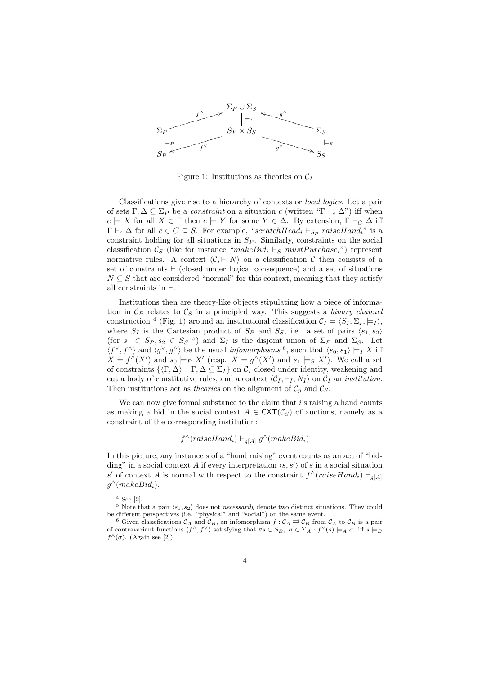

Figure 1: Institutions as theories on  $C_I$ 

Classifications give rise to a hierarchy of contexts or local logics. Let a pair of sets  $\Gamma, \Delta \subseteq \Sigma_P$  be a *constraint* on a situation c (written " $\Gamma \vdash_c \Delta$ ") iff when  $c \models X$  for all  $X \in \Gamma$  then  $c \models Y$  for some  $Y \in \Delta$ . By extension,  $\Gamma \vdash_C \Delta$  iff  $\Gamma \vdash_c \Delta$  for all  $c \in C \subseteq S$ . For example, "scratchHead<sub>i</sub>  $\vdash_{Sp}$  raiseHand<sub>i</sub>" is a constraint holding for all situations in  $S_P$ . Similarly, constraints on the social classification  $\mathcal{C}_S$  (like for instance "makeBid<sub>i</sub>  $\vdash_S must Purchase_i$ ") represent normative rules. A context  $\langle \mathcal{C}, \vdash, N \rangle$  on a classification C then consists of a set of constraints  $\vdash$  (closed under logical consequence) and a set of situations  $N \subseteq S$  that are considered "normal" for this context, meaning that they satisfy all constraints in  $\vdash$ .

Institutions then are theory-like objects stipulating how a piece of information in  $\mathcal{C}_P$  relates to  $\mathcal{C}_S$  in a principled way. This suggests a binary channel construction <sup>4</sup> (Fig. 1) around an institutional classification  $C_I = \langle S_I, \Sigma_I, \models_I \rangle$ , where  $S_I$  is the Cartesian product of  $S_P$  and  $S_S$ , i.e. a set of pairs  $\langle s_1, s_2 \rangle$ (for  $s_1 \in S_P, s_2 \in S_S$ <sup>5</sup>) and  $\Sigma_I$  is the disjoint union of  $\Sigma_P$  and  $\Sigma_S$ . Let  $\langle f^{\vee}, f^{\wedge} \rangle$  and  $\langle g^{\vee}, g^{\wedge} \rangle$  be the usual *infomorphisms* <sup>6</sup>, such that  $\langle s_0, s_1 \rangle \models_I X$  iff  $X = f^{\wedge}(X')$  and  $s_0 \models_P X'$  (resp.  $X = g^{\wedge}(X')$  and  $s_1 \models_S X'$ ). We call a set of constraints  $\{K \setminus \Delta \mid \Gamma, \Delta \subseteq \Sigma_I \}$  on  $\mathcal{C}_I$  closed under identity, weakening and cut a body of constitutive rules, and a context  $\langle C_I, \vdash_I, N_I \rangle$  on  $C_I$  an *institution*. Then institutions act as *theories* on the alignment of  $\mathcal{C}_p$  and  $\mathcal{C}_S$ .

We can now give formal substance to the claim that  $i$ 's raising a hand counts as making a bid in the social context  $A \in \text{CXT}(\mathcal{C}_S)$  of auctions, namely as a constraint of the corresponding institution:

$$
f^{\wedge}(raiseHand_i) \vdash_{g[A]} g^{\wedge}(makeBid_i)
$$

In this picture, any instance s of a "hand raising" event counts as an act of "bidding" in a social context A if every interpretation  $\langle s, s' \rangle$  of s in a social situation s' of context A is normal with respect to the constraint  $f^{\wedge}(raiseHand_i) \doteq g_{[A]}$  $g^{\wedge}(makeBid_i).$ 

 $4$  See [2].

<sup>&</sup>lt;sup>5</sup> Note that a pair  $\langle s_1, s_2 \rangle$  does not *necessarily* denote two distinct situations. They could be different perspectives (i.e. "physical" and "social") on the same event.

<sup>&</sup>lt;sup>6</sup> Given classifications  $\mathcal{C}_A$  and  $\mathcal{C}_B$ , an infomorphism  $f : \mathcal{C}_A \rightleftarrows \mathcal{C}_B$  from  $\mathcal{C}_A$  to  $\mathcal{C}_B$  is a pair of contravariant functions  $\langle f^\wedge, f^\vee \rangle$  satisfying that  $\forall s \in S_B$ ,  $\sigma \in \Sigma_A : f^\vee(s) \models_A \sigma$  iff  $s \models_B$  $f^{\wedge}(\sigma)$ . (Again see [2])